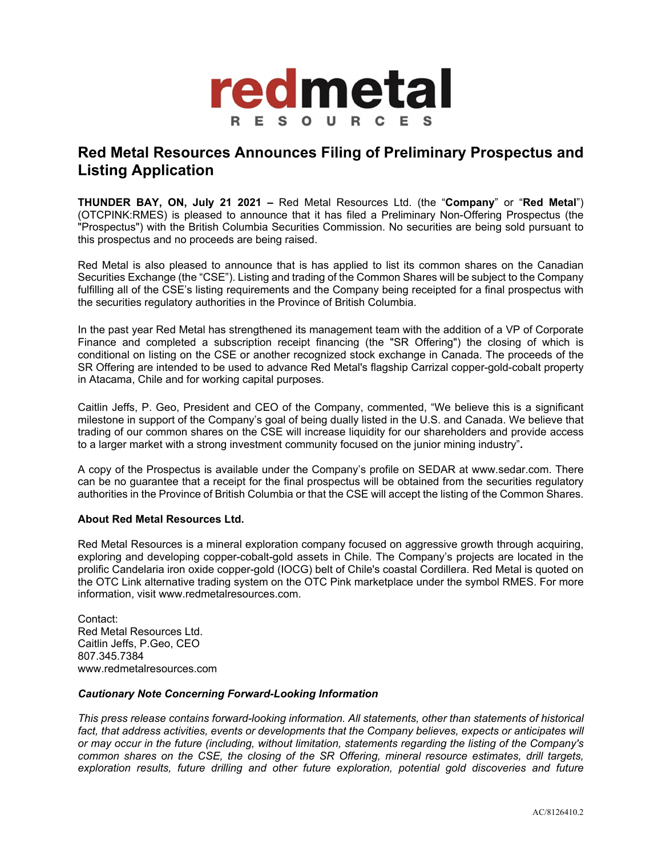

## **Red Metal Resources Announces Filing of Preliminary Prospectus and Listing Application**

**THUNDER BAY, ON, July 21 2021 –** Red Metal Resources Ltd. (the "**Company**" or "**Red Metal**") (OTCPINK:RMES) is pleased to announce that it has filed a Preliminary Non-Offering Prospectus (the "Prospectus") with the British Columbia Securities Commission. No securities are being sold pursuant to this prospectus and no proceeds are being raised.

Red Metal is also pleased to announce that is has applied to list its common shares on the Canadian Securities Exchange (the "CSE"). Listing and trading of the Common Shares will be subject to the Company fulfilling all of the CSE's listing requirements and the Company being receipted for a final prospectus with the securities regulatory authorities in the Province of British Columbia.

In the past year Red Metal has strengthened its management team with the addition of a VP of Corporate Finance and completed a subscription receipt financing (the "SR Offering") the closing of which is conditional on listing on the CSE or another recognized stock exchange in Canada. The proceeds of the SR Offering are intended to be used to advance Red Metal's flagship Carrizal copper-gold-cobalt property in Atacama, Chile and for working capital purposes.

Caitlin Jeffs, P. Geo, President and CEO of the Company, commented, "We believe this is a significant milestone in support of the Company's goal of being dually listed in the U.S. and Canada. We believe that trading of our common shares on the CSE will increase liquidity for our shareholders and provide access to a larger market with a strong investment community focused on the junior mining industry"**.** 

A copy of the Prospectus is available under the Company's profile on SEDAR at www.sedar.com. There can be no guarantee that a receipt for the final prospectus will be obtained from the securities regulatory authorities in the Province of British Columbia or that the CSE will accept the listing of the Common Shares.

## **About Red Metal Resources Ltd.**

Red Metal Resources is a mineral exploration company focused on aggressive growth through acquiring, exploring and developing copper-cobalt-gold assets in Chile. The Company's projects are located in the prolific Candelaria iron oxide copper-gold (IOCG) belt of Chile's coastal Cordillera. Red Metal is quoted on the OTC Link alternative trading system on the OTC Pink marketplace under the symbol RMES. For more information, visit www.redmetalresources.com.

Contact: Red Metal Resources Ltd. Caitlin Jeffs, P.Geo, CEO 807.345.7384 www.redmetalresources.com

## *Cautionary Note Concerning Forward-Looking Information*

*This press release contains forward-looking information. All statements, other than statements of historical*  fact, that address activities, events or developments that the Company believes, expects or anticipates will *or may occur in the future (including, without limitation, statements regarding the listing of the Company's common shares on the CSE, the closing of the SR Offering, mineral resource estimates, drill targets, exploration results, future drilling and other future exploration, potential gold discoveries and future*